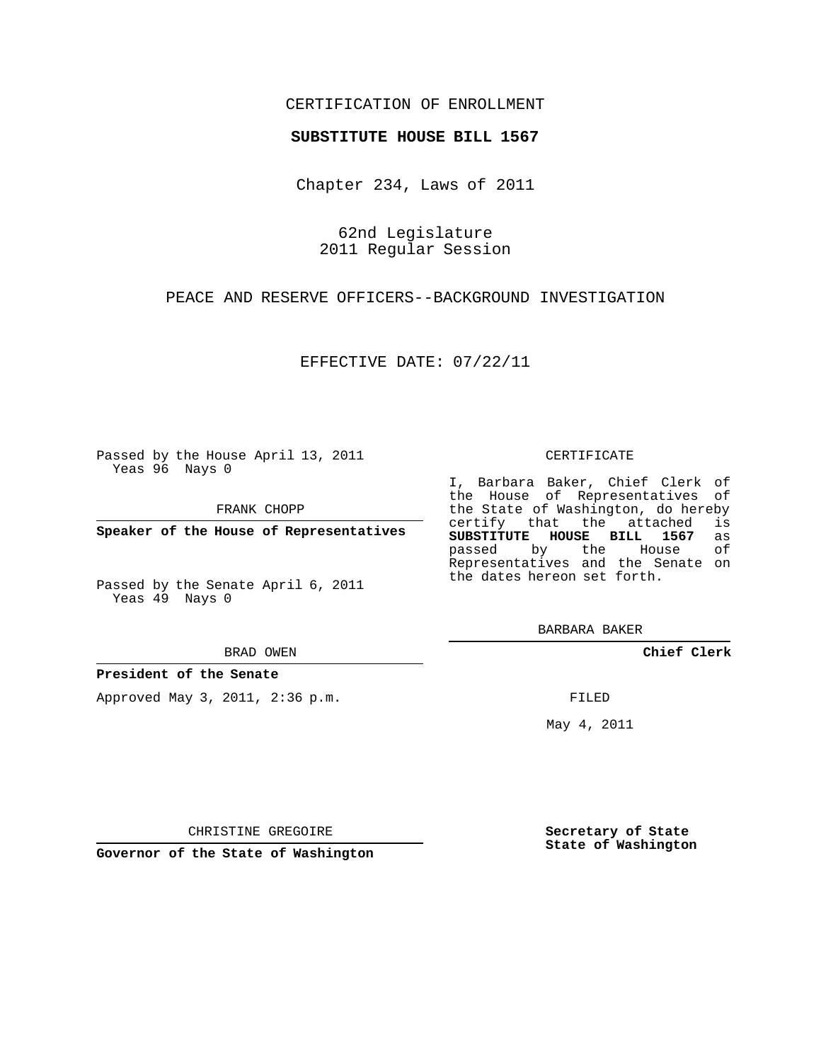## CERTIFICATION OF ENROLLMENT

### **SUBSTITUTE HOUSE BILL 1567**

Chapter 234, Laws of 2011

62nd Legislature 2011 Regular Session

PEACE AND RESERVE OFFICERS--BACKGROUND INVESTIGATION

EFFECTIVE DATE: 07/22/11

Passed by the House April 13, 2011 Yeas 96 Nays 0

FRANK CHOPP

**Speaker of the House of Representatives**

Passed by the Senate April 6, 2011 Yeas 49 Nays 0

BRAD OWEN

**President of the Senate**

Approved May 3, 2011, 2:36 p.m.

#### CERTIFICATE

I, Barbara Baker, Chief Clerk of the House of Representatives of the State of Washington, do hereby<br>certify that the attached is certify that the attached **SUBSTITUTE HOUSE BILL 1567** as passed by the House of Representatives and the Senate on the dates hereon set forth.

BARBARA BAKER

**Chief Clerk**

FILED

May 4, 2011

**Secretary of State State of Washington**

CHRISTINE GREGOIRE

**Governor of the State of Washington**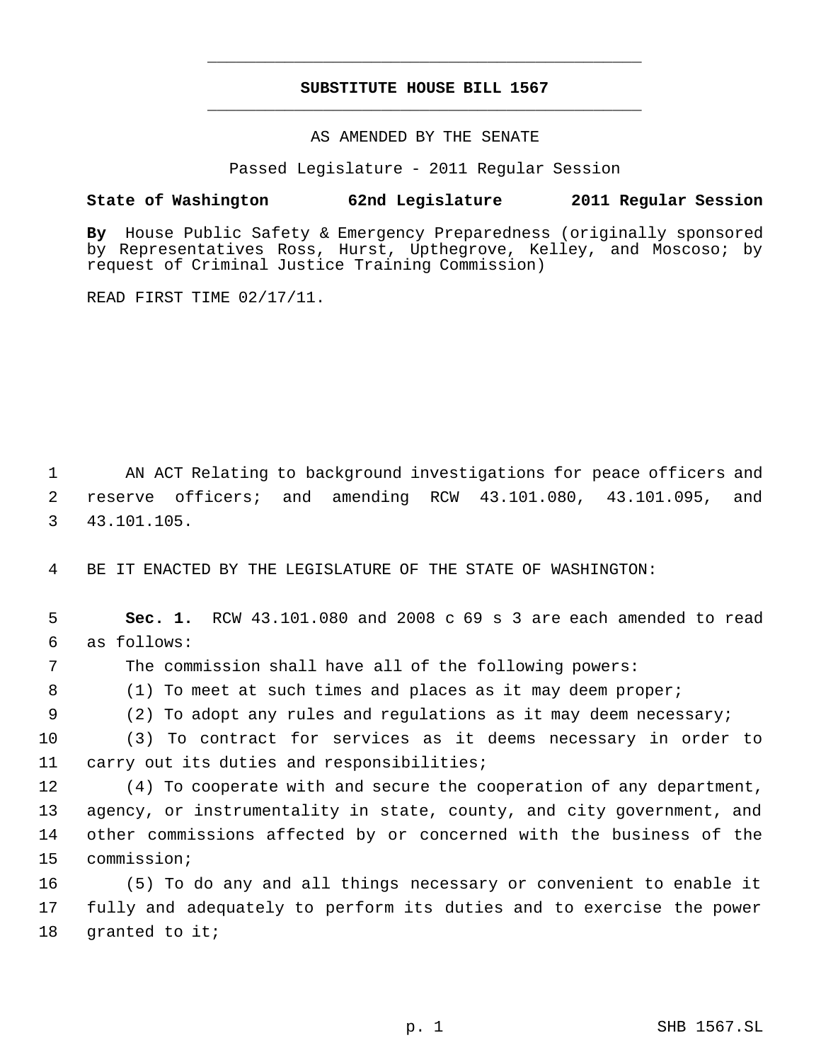# **SUBSTITUTE HOUSE BILL 1567** \_\_\_\_\_\_\_\_\_\_\_\_\_\_\_\_\_\_\_\_\_\_\_\_\_\_\_\_\_\_\_\_\_\_\_\_\_\_\_\_\_\_\_\_\_

\_\_\_\_\_\_\_\_\_\_\_\_\_\_\_\_\_\_\_\_\_\_\_\_\_\_\_\_\_\_\_\_\_\_\_\_\_\_\_\_\_\_\_\_\_

### AS AMENDED BY THE SENATE

Passed Legislature - 2011 Regular Session

### **State of Washington 62nd Legislature 2011 Regular Session**

**By** House Public Safety & Emergency Preparedness (originally sponsored by Representatives Ross, Hurst, Upthegrove, Kelley, and Moscoso; by request of Criminal Justice Training Commission)

READ FIRST TIME 02/17/11.

 1 AN ACT Relating to background investigations for peace officers and 2 reserve officers; and amending RCW 43.101.080, 43.101.095, and 3 43.101.105.

4 BE IT ENACTED BY THE LEGISLATURE OF THE STATE OF WASHINGTON:

 **Sec. 1.** RCW 43.101.080 and 2008 c 69 s 3 are each amended to read as follows: The commission shall have all of the following powers: 8 (1) To meet at such times and places as it may deem proper; (2) To adopt any rules and regulations as it may deem necessary; (3) To contract for services as it deems necessary in order to carry out its duties and responsibilities; (4) To cooperate with and secure the cooperation of any department, agency, or instrumentality in state, county, and city government, and other commissions affected by or concerned with the business of the commission; (5) To do any and all things necessary or convenient to enable it

17 fully and adequately to perform its duties and to exercise the power 18 granted to it;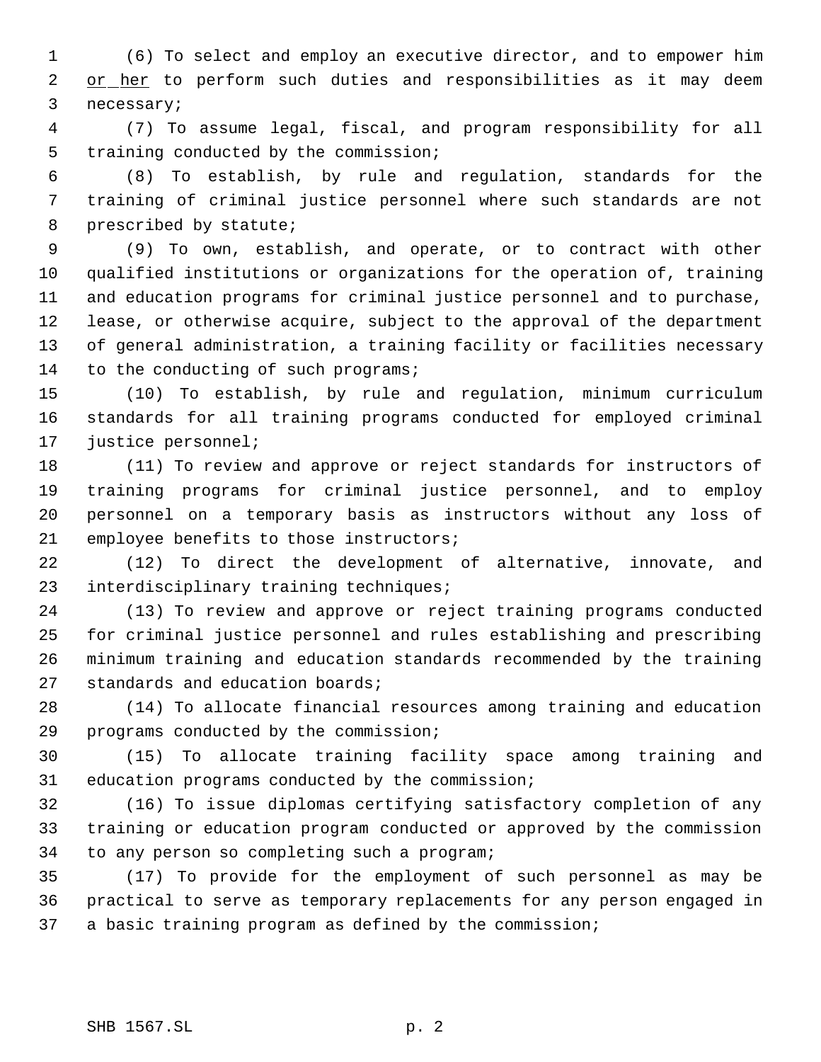(6) To select and employ an executive director, and to empower him 2 or her to perform such duties and responsibilities as it may deem necessary;

 (7) To assume legal, fiscal, and program responsibility for all training conducted by the commission;

 (8) To establish, by rule and regulation, standards for the training of criminal justice personnel where such standards are not prescribed by statute;

 (9) To own, establish, and operate, or to contract with other qualified institutions or organizations for the operation of, training and education programs for criminal justice personnel and to purchase, lease, or otherwise acquire, subject to the approval of the department of general administration, a training facility or facilities necessary 14 to the conducting of such programs;

 (10) To establish, by rule and regulation, minimum curriculum standards for all training programs conducted for employed criminal justice personnel;

 (11) To review and approve or reject standards for instructors of training programs for criminal justice personnel, and to employ personnel on a temporary basis as instructors without any loss of employee benefits to those instructors;

 (12) To direct the development of alternative, innovate, and interdisciplinary training techniques;

 (13) To review and approve or reject training programs conducted for criminal justice personnel and rules establishing and prescribing minimum training and education standards recommended by the training standards and education boards;

 (14) To allocate financial resources among training and education programs conducted by the commission;

 (15) To allocate training facility space among training and education programs conducted by the commission;

 (16) To issue diplomas certifying satisfactory completion of any training or education program conducted or approved by the commission to any person so completing such a program;

 (17) To provide for the employment of such personnel as may be practical to serve as temporary replacements for any person engaged in a basic training program as defined by the commission;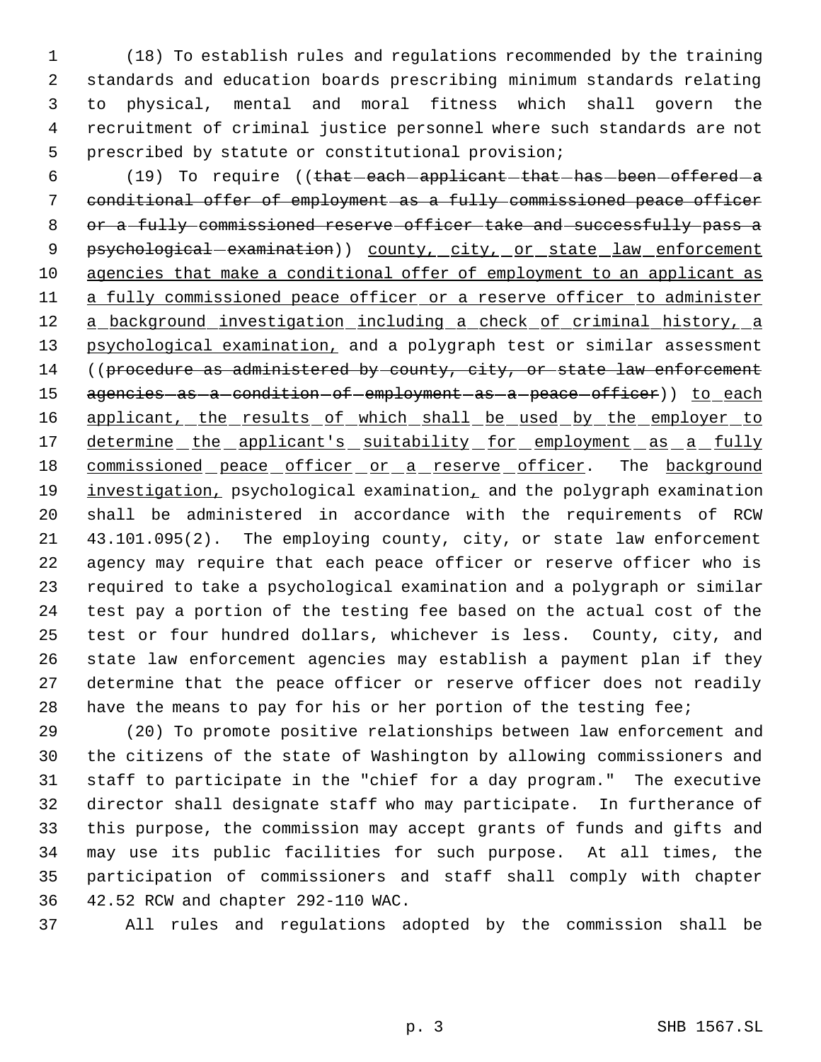(18) To establish rules and regulations recommended by the training standards and education boards prescribing minimum standards relating to physical, mental and moral fitness which shall govern the recruitment of criminal justice personnel where such standards are not prescribed by statute or constitutional provision;

6 (19) To require ((that each applicant that has been offered a conditional offer of employment as a fully commissioned peace officer 8 or a fully commissioned reserve officer take and successfully pass a 9 psychological examination) county, city, or state law enforcement agencies that make a conditional offer of employment to an applicant as 11 a fully commissioned peace officer or a reserve officer to administer 12 a background investigation including a check of criminal history, a 13 psychological examination, and a polygraph test or similar assessment 14 ((procedure as administered by county, city, or state law enforcement 15 agencies as a condition of employment as a peace officer)) to each 16 applicant, the results of which shall be used by the employer to 17 determine the applicant's suitability for employment as a fully 18 commissioned peace officer or a reserve officer. The background 19 investigation, psychological examination, and the polygraph examination shall be administered in accordance with the requirements of RCW 43.101.095(2). The employing county, city, or state law enforcement agency may require that each peace officer or reserve officer who is required to take a psychological examination and a polygraph or similar test pay a portion of the testing fee based on the actual cost of the test or four hundred dollars, whichever is less. County, city, and state law enforcement agencies may establish a payment plan if they determine that the peace officer or reserve officer does not readily have the means to pay for his or her portion of the testing fee;

 (20) To promote positive relationships between law enforcement and the citizens of the state of Washington by allowing commissioners and staff to participate in the "chief for a day program." The executive director shall designate staff who may participate. In furtherance of this purpose, the commission may accept grants of funds and gifts and may use its public facilities for such purpose. At all times, the participation of commissioners and staff shall comply with chapter 42.52 RCW and chapter 292-110 WAC.

All rules and regulations adopted by the commission shall be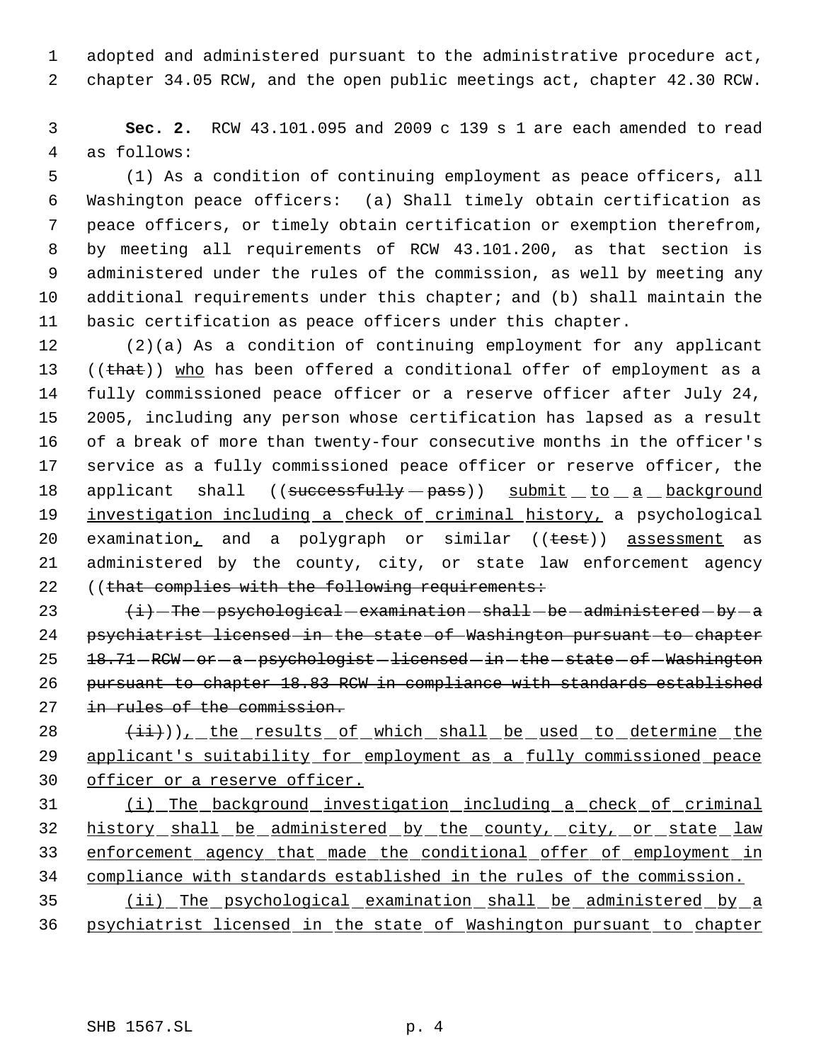adopted and administered pursuant to the administrative procedure act, chapter 34.05 RCW, and the open public meetings act, chapter 42.30 RCW.

 **Sec. 2.** RCW 43.101.095 and 2009 c 139 s 1 are each amended to read as follows:

 (1) As a condition of continuing employment as peace officers, all Washington peace officers: (a) Shall timely obtain certification as peace officers, or timely obtain certification or exemption therefrom, by meeting all requirements of RCW 43.101.200, as that section is administered under the rules of the commission, as well by meeting any additional requirements under this chapter; and (b) shall maintain the basic certification as peace officers under this chapter.

 (2)(a) As a condition of continuing employment for any applicant 13 ((that)) who has been offered a conditional offer of employment as a fully commissioned peace officer or a reserve officer after July 24, 2005, including any person whose certification has lapsed as a result of a break of more than twenty-four consecutive months in the officer's service as a fully commissioned peace officer or reserve officer, the 18 applicant shall ((successfully - pass)) submit to a background 19 investigation including a check of criminal history, a psychological 20 examination, and a polygraph or similar ((test)) assessment as administered by the county, city, or state law enforcement agency 22 ((that complies with the following requirements:

 $\leftarrow$   $\leftarrow$  The -psychological -examination -shall -be -administered -by -a psychiatrist licensed in the state of Washington pursuant to chapter 25 18.71 - RCW - or - a - psychologist - licensed - in - the - state - of - Washington pursuant to chapter 18.83 RCW in compliance with standards established 27 in rules of the commission.

 $(i+1)$ ), the results of which shall be used to determine the 29 applicant's suitability for employment as a fully commissioned peace 30 officer or a reserve officer.

 (i) The background investigation including a check of criminal 32 history shall be administered by the county, city, or state law enforcement agency that made the conditional offer of employment in compliance with standards established in the rules of the commission.

 (ii) The psychological examination shall be administered by a psychiatrist licensed in the state of Washington pursuant to chapter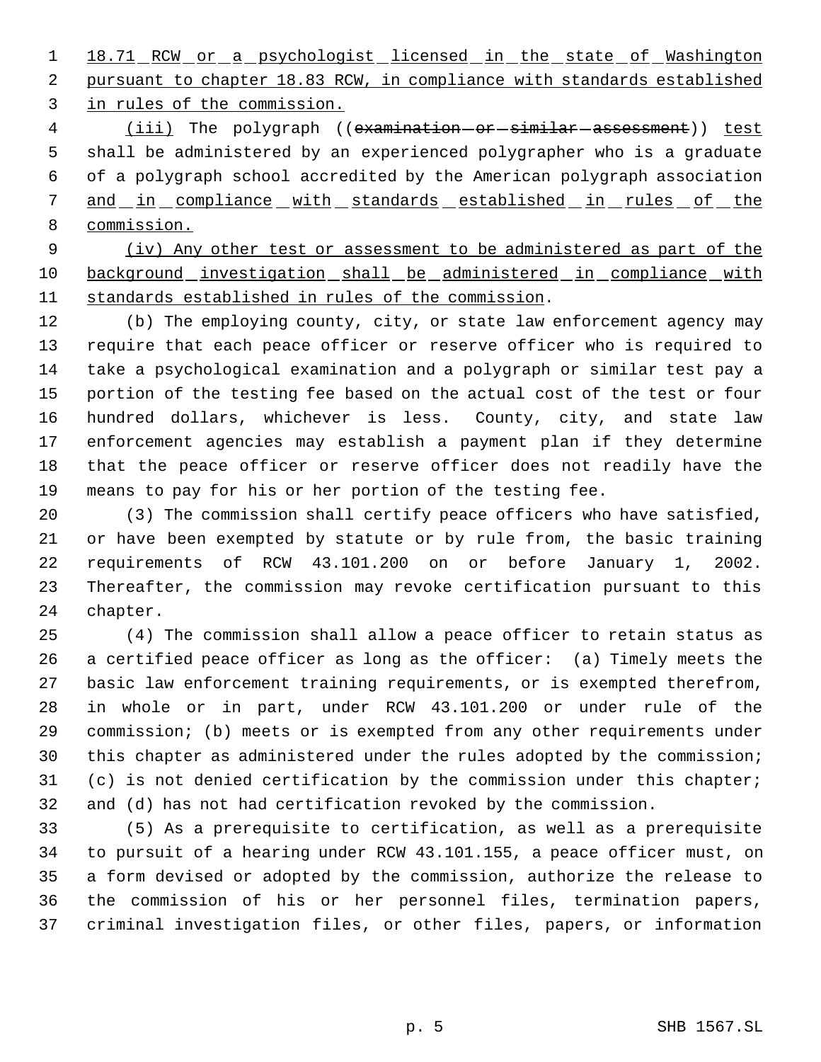1 18.71 RCW or a psychologist licensed in the state of Washington pursuant to chapter 18.83 RCW, in compliance with standards established in rules of the commission.

4 (iii) The polygraph ((examination-or-similar-assessment)) test shall be administered by an experienced polygrapher who is a graduate of a polygraph school accredited by the American polygraph association 7 and in compliance with standards established in rules of the commission.

 (iv) Any other test or assessment to be administered as part of the 10 background investigation shall be administered in compliance with standards established in rules of the commission.

 (b) The employing county, city, or state law enforcement agency may require that each peace officer or reserve officer who is required to take a psychological examination and a polygraph or similar test pay a portion of the testing fee based on the actual cost of the test or four hundred dollars, whichever is less. County, city, and state law enforcement agencies may establish a payment plan if they determine that the peace officer or reserve officer does not readily have the means to pay for his or her portion of the testing fee.

 (3) The commission shall certify peace officers who have satisfied, or have been exempted by statute or by rule from, the basic training requirements of RCW 43.101.200 on or before January 1, 2002. Thereafter, the commission may revoke certification pursuant to this chapter.

 (4) The commission shall allow a peace officer to retain status as a certified peace officer as long as the officer: (a) Timely meets the basic law enforcement training requirements, or is exempted therefrom, in whole or in part, under RCW 43.101.200 or under rule of the commission; (b) meets or is exempted from any other requirements under this chapter as administered under the rules adopted by the commission; (c) is not denied certification by the commission under this chapter; and (d) has not had certification revoked by the commission.

 (5) As a prerequisite to certification, as well as a prerequisite to pursuit of a hearing under RCW 43.101.155, a peace officer must, on a form devised or adopted by the commission, authorize the release to the commission of his or her personnel files, termination papers, criminal investigation files, or other files, papers, or information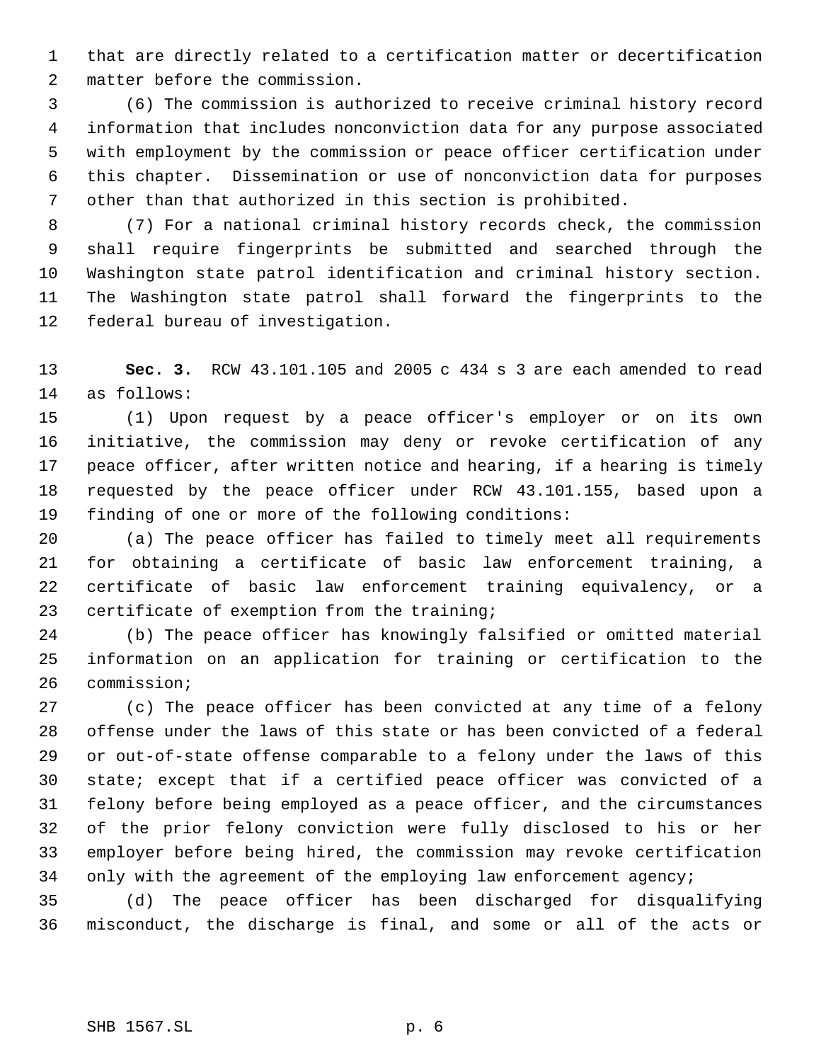that are directly related to a certification matter or decertification matter before the commission.

 (6) The commission is authorized to receive criminal history record information that includes nonconviction data for any purpose associated with employment by the commission or peace officer certification under this chapter. Dissemination or use of nonconviction data for purposes other than that authorized in this section is prohibited.

 (7) For a national criminal history records check, the commission shall require fingerprints be submitted and searched through the Washington state patrol identification and criminal history section. The Washington state patrol shall forward the fingerprints to the federal bureau of investigation.

 **Sec. 3.** RCW 43.101.105 and 2005 c 434 s 3 are each amended to read as follows:

 (1) Upon request by a peace officer's employer or on its own initiative, the commission may deny or revoke certification of any peace officer, after written notice and hearing, if a hearing is timely requested by the peace officer under RCW 43.101.155, based upon a finding of one or more of the following conditions:

 (a) The peace officer has failed to timely meet all requirements for obtaining a certificate of basic law enforcement training, a certificate of basic law enforcement training equivalency, or a certificate of exemption from the training;

 (b) The peace officer has knowingly falsified or omitted material information on an application for training or certification to the commission;

 (c) The peace officer has been convicted at any time of a felony offense under the laws of this state or has been convicted of a federal or out-of-state offense comparable to a felony under the laws of this state; except that if a certified peace officer was convicted of a felony before being employed as a peace officer, and the circumstances of the prior felony conviction were fully disclosed to his or her employer before being hired, the commission may revoke certification 34 only with the agreement of the employing law enforcement agency;

 (d) The peace officer has been discharged for disqualifying misconduct, the discharge is final, and some or all of the acts or